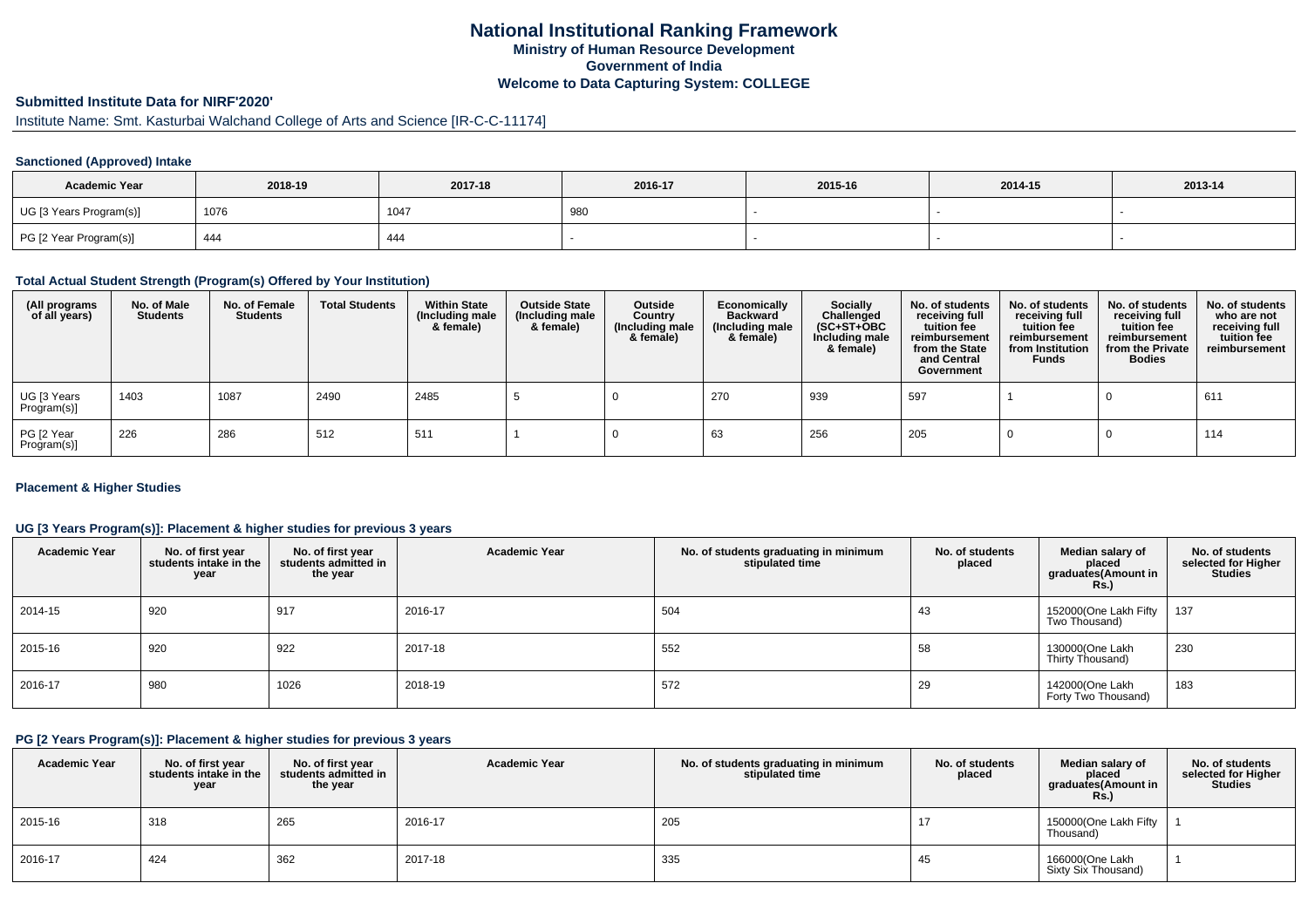## **National Institutional Ranking FrameworkMinistry of Human Resource DevelopmentGovernment of IndiaWelcome to Data Capturing System: COLLEGE**

## **Submitted Institute Data for NIRF'2020'**

# Institute Name: Smt. Kasturbai Walchand College of Arts and Science [IR-C-C-11174]

## **Sanctioned (Approved) Intake**

| <b>Academic Year</b>    | 2018-19 | 2017-18 | 2016-17 | 2015-16 | 2014-15 | 2013-14 |
|-------------------------|---------|---------|---------|---------|---------|---------|
| UG [3 Years Program(s)] | 1076    | 1047    | 980     |         |         |         |
| PG [2 Year Program(s)]  | 444     | 444     |         |         |         |         |

#### **Total Actual Student Strength (Program(s) Offered by Your Institution)**

| (All programs<br>of all years) | No. of Male<br><b>Students</b> | No. of Female<br><b>Students</b> | <b>Total Students</b> | <b>Within State</b><br>(Including male<br>& female) | <b>Outside State</b><br>(Including male<br>& female) | Outside<br>Country<br>(Including male<br>& female) | Economically<br><b>Backward</b><br>(Including male<br>& female) | Socially<br>Challenged<br>$(SC+ST+OBC)$<br>Including male<br>& female) | No. of students<br>receiving full<br>tuition fee<br>reimbursement<br>from the State<br>and Central<br>Government | No. of students<br>receiving full<br>tuition fee<br>reimbursement<br>from Institution<br><b>Funds</b> | No. of students<br>receiving full<br>tuition fee<br>reimbursement<br>from the Private<br><b>Bodies</b> | No. of students<br>who are not<br>receiving full<br>tuition fee<br>reimbursement |
|--------------------------------|--------------------------------|----------------------------------|-----------------------|-----------------------------------------------------|------------------------------------------------------|----------------------------------------------------|-----------------------------------------------------------------|------------------------------------------------------------------------|------------------------------------------------------------------------------------------------------------------|-------------------------------------------------------------------------------------------------------|--------------------------------------------------------------------------------------------------------|----------------------------------------------------------------------------------|
| UG [3 Years<br>Program(s)]     | 1403                           | 1087                             | 2490                  | 2485                                                |                                                      |                                                    | 270                                                             | 939                                                                    | 597                                                                                                              |                                                                                                       |                                                                                                        | 611                                                                              |
| PG [2 Year<br>Program(s)]      | 226                            | 286                              | 512                   | 511                                                 |                                                      |                                                    | 63                                                              | 256                                                                    | 205                                                                                                              |                                                                                                       |                                                                                                        | 114                                                                              |

## **Placement & Higher Studies**

## **UG [3 Years Program(s)]: Placement & higher studies for previous 3 years**

| <b>Academic Year</b> | No. of first year<br>students intake in the<br>year | No. of first year<br>students admitted in<br>the year | <b>Academic Year</b> | No. of students graduating in minimum<br>stipulated time | No. of students<br>placed | Median salary of<br>placed<br>graduates(Amount in<br><b>Rs.)</b> | No. of students<br>selected for Higher<br><b>Studies</b> |
|----------------------|-----------------------------------------------------|-------------------------------------------------------|----------------------|----------------------------------------------------------|---------------------------|------------------------------------------------------------------|----------------------------------------------------------|
| 2014-15              | 920                                                 | 917                                                   | 2016-17              | 504                                                      | 43                        | 152000(One Lakh Fifty<br>Two Thousand)                           | 137                                                      |
| 2015-16              | 920                                                 | 922                                                   | 2017-18              | 552                                                      | 58                        | 130000(One Lakh<br>Thirty Thousand)                              | 230                                                      |
| 2016-17              | 980                                                 | 1026                                                  | 2018-19              | 572                                                      | 29                        | 142000(One Lakh<br>Forty Two Thousand)                           | 183                                                      |

#### **PG [2 Years Program(s)]: Placement & higher studies for previous 3 years**

| <b>Academic Year</b> | No. of first year<br>students intake in the<br>year | No. of first vear<br>students admitted in<br>the year | <b>Academic Year</b> | No. of students graduating in minimum<br>stipulated time | No. of students<br>placed | Median salary of<br>placed<br>graduates(Amount in<br>Rs.) | No. of students<br>selected for Higher<br><b>Studies</b> |
|----------------------|-----------------------------------------------------|-------------------------------------------------------|----------------------|----------------------------------------------------------|---------------------------|-----------------------------------------------------------|----------------------------------------------------------|
| 2015-16              | 318                                                 | 265                                                   | 2016-17              | 205                                                      | 17                        | 150000(One Lakh Fifty<br>Thousand)                        |                                                          |
| 2016-17              | 424                                                 | 362                                                   | 2017-18              | 335                                                      | 45                        | 166000(One Lakh<br>Sixty Six Thousand)                    |                                                          |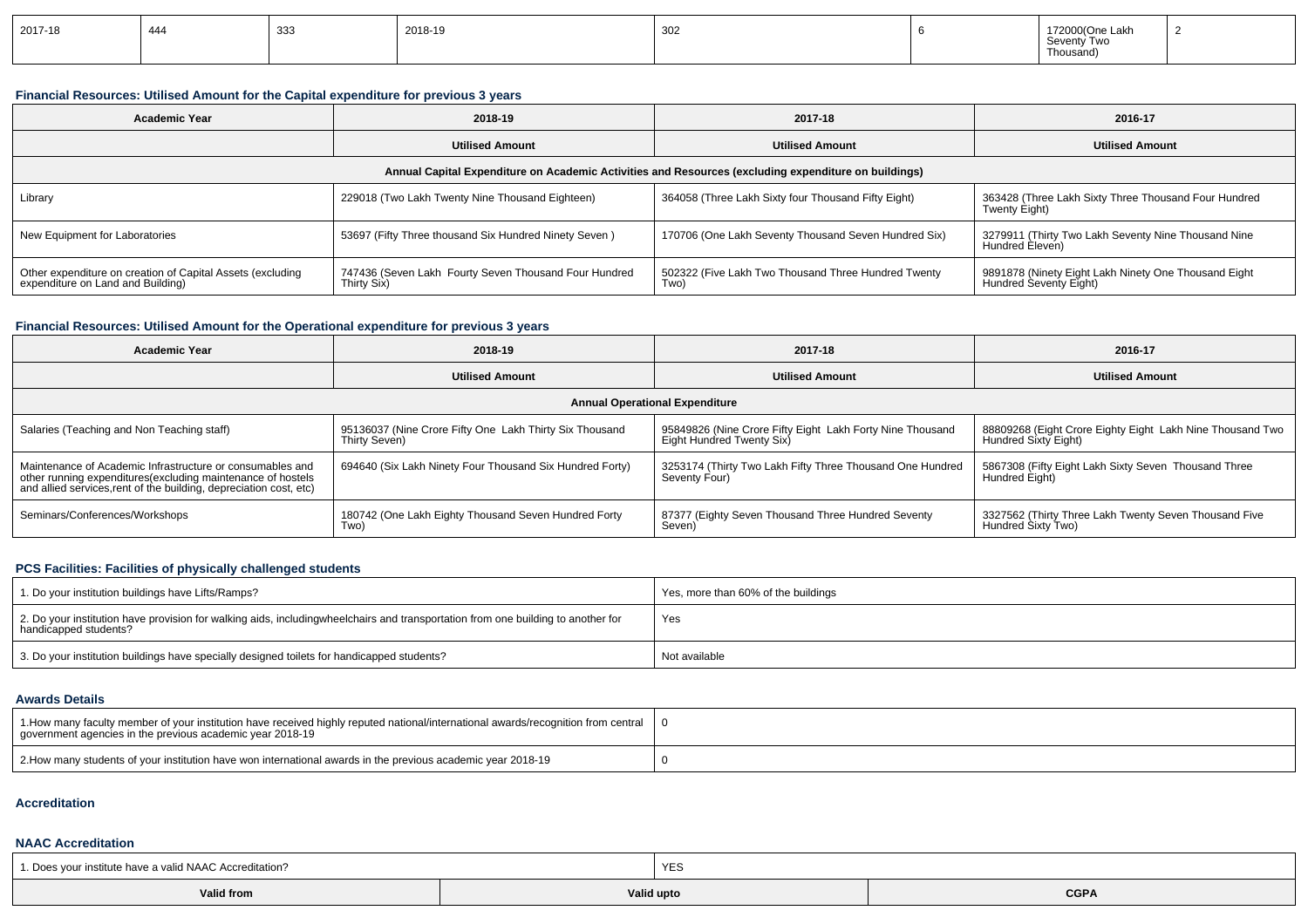| 2017-18 | $\Lambda$ $\Lambda$<br>444 | ິບບບ | 2018-19 | 302 |  | 172000(One Lakh<br>Seventy Two<br>Thousand |  |
|---------|----------------------------|------|---------|-----|--|--------------------------------------------|--|
|---------|----------------------------|------|---------|-----|--|--------------------------------------------|--|

## **Financial Resources: Utilised Amount for the Capital expenditure for previous 3 years**

| Academic Year                                                                                        | 2018-19                                                              | 2017-18                                                     | 2016-17                                                                        |  |  |  |
|------------------------------------------------------------------------------------------------------|----------------------------------------------------------------------|-------------------------------------------------------------|--------------------------------------------------------------------------------|--|--|--|
|                                                                                                      | <b>Utilised Amount</b>                                               | <b>Utilised Amount</b>                                      | <b>Utilised Amount</b>                                                         |  |  |  |
| Annual Capital Expenditure on Academic Activities and Resources (excluding expenditure on buildings) |                                                                      |                                                             |                                                                                |  |  |  |
| Library                                                                                              | 229018 (Two Lakh Twenty Nine Thousand Eighteen)                      | 364058 (Three Lakh Sixty four Thousand Fifty Eight)         | 363428 (Three Lakh Sixty Three Thousand Four Hundred<br>Twenty Eight)          |  |  |  |
| New Equipment for Laboratories                                                                       | 53697 (Fifty Three thousand Six Hundred Ninety Seven)                | 170706 (One Lakh Seventy Thousand Seven Hundred Six)        | 3279911 (Thirty Two Lakh Seventy Nine Thousand Nine<br>Hundred Eleven)         |  |  |  |
| Other expenditure on creation of Capital Assets (excluding<br>expenditure on Land and Building)      | 747436 (Seven Lakh Fourty Seven Thousand Four Hundred<br>Thirty Six) | 502322 (Five Lakh Two Thousand Three Hundred Twenty<br>Two) | 9891878 (Ninety Eight Lakh Ninety One Thousand Eight<br>Hundred Seventy Eight) |  |  |  |

## **Financial Resources: Utilised Amount for the Operational expenditure for previous 3 years**

| <b>Academic Year</b>                                                                                                                                                                           | 2018-19                                                                  | 2017-18                                                                                | 2016-17                                                                           |  |  |  |
|------------------------------------------------------------------------------------------------------------------------------------------------------------------------------------------------|--------------------------------------------------------------------------|----------------------------------------------------------------------------------------|-----------------------------------------------------------------------------------|--|--|--|
|                                                                                                                                                                                                | <b>Utilised Amount</b>                                                   | <b>Utilised Amount</b>                                                                 | <b>Utilised Amount</b>                                                            |  |  |  |
| <b>Annual Operational Expenditure</b>                                                                                                                                                          |                                                                          |                                                                                        |                                                                                   |  |  |  |
| Salaries (Teaching and Non Teaching staff)                                                                                                                                                     | 95136037 (Nine Crore Fifty One Lakh Thirty Six Thousand<br>Thirty Seven) | 95849826 (Nine Crore Fifty Eight Lakh Forty Nine Thousand<br>Eight Hundred Twenty Six) | 88809268 (Eight Crore Eighty Eight Lakh Nine Thousand Two<br>Hundred Sixty Eight) |  |  |  |
| Maintenance of Academic Infrastructure or consumables and<br>other running expenditures(excluding maintenance of hostels<br>and allied services, rent of the building, depreciation cost, etc) | 694640 (Six Lakh Ninety Four Thousand Six Hundred Forty)                 | 3253174 (Thirty Two Lakh Fifty Three Thousand One Hundred<br>Seventy Four)             | 5867308 (Fifty Eight Lakh Sixty Seven Thousand Three<br>Hundred Eight)            |  |  |  |
| Seminars/Conferences/Workshops                                                                                                                                                                 | 180742 (One Lakh Eighty Thousand Seven Hundred Forty<br>l wo)            | 87377 (Eighty Seven Thousand Three Hundred Seventy<br>Seven)                           | 3327562 (Thirty Three Lakh Twenty Seven Thousand Five<br>Hundred Sixty Two)       |  |  |  |

## **PCS Facilities: Facilities of physically challenged students**

| 1. Do your institution buildings have Lifts/Ramps?                                                                                                        | Yes, more than 60% of the buildings |
|-----------------------------------------------------------------------------------------------------------------------------------------------------------|-------------------------------------|
| 2. Do your institution have provision for walking aids, includingwheelchairs and transportation from one building to another for<br>handicapped students? | Yes                                 |
| 3. Do your institution buildings have specially designed toilets for handicapped students?                                                                | Not available                       |

#### **Awards Details**

| 1. How many faculty member of your institution have received highly reputed national/international awards/recognition from central<br>government agencies in the previous academic year 2018-19 |  |
|-------------------------------------------------------------------------------------------------------------------------------------------------------------------------------------------------|--|
| 2. How many students of your institution have won international awards in the previous academic year 2018-19                                                                                    |  |

#### **Accreditation**

## **NAAC Accreditation**

| 1. Does your institute have a valid NAAC Accreditation? | YES        |  |             |  |
|---------------------------------------------------------|------------|--|-------------|--|
| Valid from                                              | Valid upto |  | <b>CGPA</b> |  |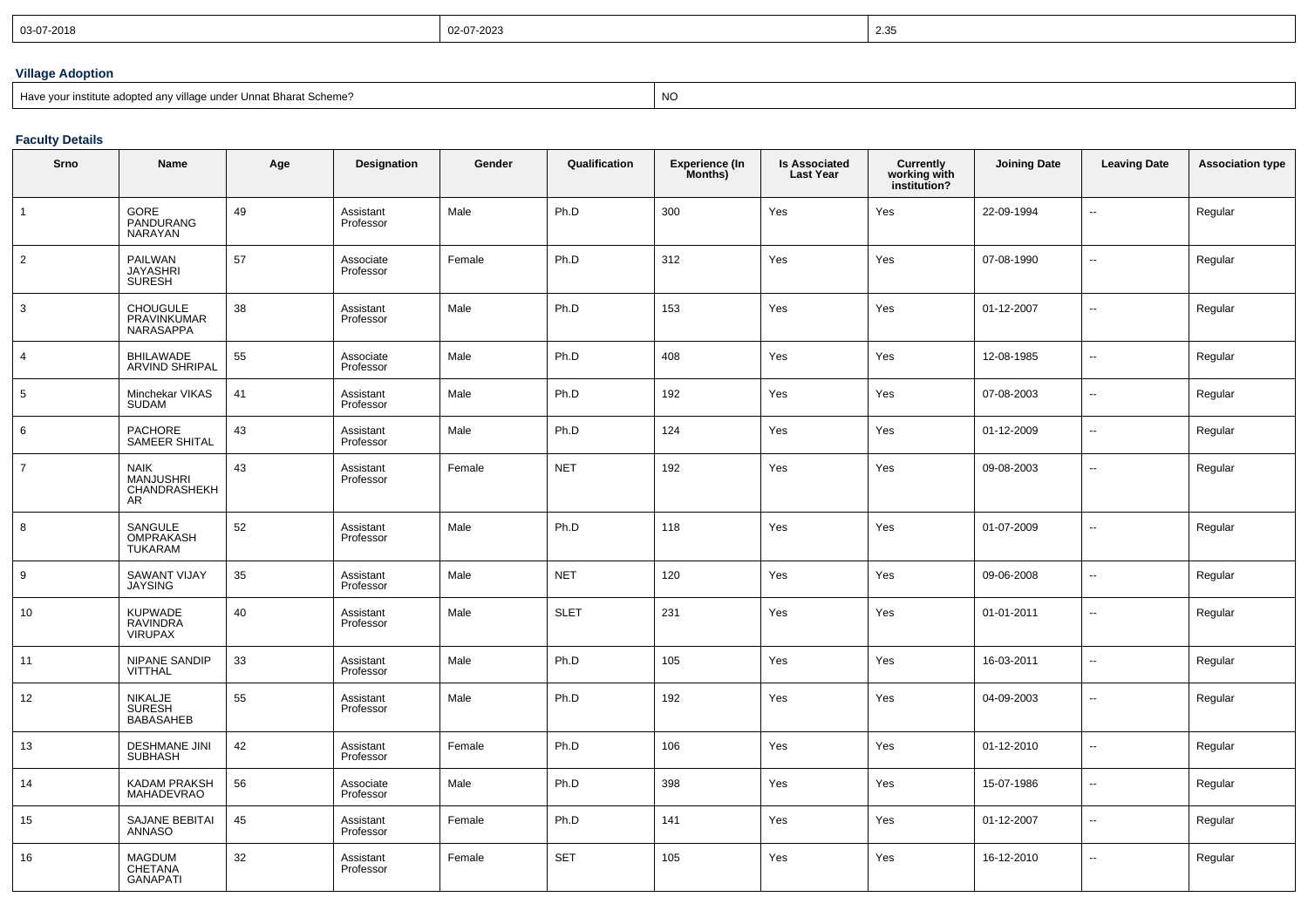| 03-07-2018 | 02-07-2023 | 2.35<br>ت⊂.∠ |
|------------|------------|--------------|
|            |            |              |

## **Village Adoption**

| Bave your institute adopted any village under Unnat Bharat Scheme? | NC. |
|--------------------------------------------------------------------|-----|
|--------------------------------------------------------------------|-----|

**Faculty Details**

| Srno            | Name                                                  | Age | <b>Designation</b>     | Gender | Qualification | <b>Experience (In</b><br>Months) | <b>Is Associated</b><br><b>Last Year</b> | Currently<br>working with<br>institution? | <b>Joining Date</b> | <b>Leaving Date</b>      | <b>Association type</b> |
|-----------------|-------------------------------------------------------|-----|------------------------|--------|---------------|----------------------------------|------------------------------------------|-------------------------------------------|---------------------|--------------------------|-------------------------|
| $\overline{1}$  | GORE<br>PANDURANG<br>NARAYAN                          | 49  | Assistant<br>Professor | Male   | Ph.D          | 300                              | Yes                                      | Yes                                       | 22-09-1994          | $\overline{a}$           | Regular                 |
| $\overline{2}$  | <b>PAILWAN</b><br><b>JAYASHRI</b><br><b>SURESH</b>    | 57  | Associate<br>Professor | Female | Ph.D          | 312                              | Yes                                      | Yes                                       | 07-08-1990          | --                       | Regular                 |
| 3               | <b>CHOUGULE</b><br>PRAVINKUMAR<br>NARASAPPA           | 38  | Assistant<br>Professor | Male   | Ph.D          | 153                              | Yes                                      | Yes                                       | 01-12-2007          | $\mathbf{u}$             | Regular                 |
| $\overline{4}$  | BHILAWADE<br>ARVIND SHRIPAL                           | 55  | Associate<br>Professor | Male   | Ph.D          | 408                              | Yes                                      | Yes                                       | 12-08-1985          | н.                       | Regular                 |
| $5\phantom{.0}$ | Minchekar VIKAS<br>SUDAM                              | 41  | Assistant<br>Professor | Male   | Ph.D          | 192                              | Yes                                      | Yes                                       | 07-08-2003          | $\overline{\phantom{a}}$ | Regular                 |
| 6               | PACHORE<br>SAMEER SHITAL                              | 43  | Assistant<br>Professor | Male   | Ph.D          | 124                              | Yes                                      | Yes                                       | 01-12-2009          | $\overline{\phantom{a}}$ | Regular                 |
| $\overline{7}$  | <b>NAIK</b><br>MANJUSHRI<br>CHANDRASHEKH<br><b>AR</b> | 43  | Assistant<br>Professor | Female | <b>NET</b>    | 192                              | Yes                                      | Yes                                       | 09-08-2003          | ۰.                       | Regular                 |
| 8               | SANGULE<br>OMPRAKASH<br><b>TUKARAM</b>                | 52  | Assistant<br>Professor | Male   | Ph.D          | 118                              | Yes                                      | Yes                                       | 01-07-2009          | Ξ.                       | Regular                 |
| 9               | <b>SAWANT VIJAY</b><br><b>JAYSING</b>                 | 35  | Assistant<br>Professor | Male   | <b>NET</b>    | 120                              | Yes                                      | Yes                                       | 09-06-2008          | $\overline{\phantom{a}}$ | Regular                 |
| 10              | <b>KUPWADE</b><br>RAVINDRA<br>VIRUPAX                 | 40  | Assistant<br>Professor | Male   | <b>SLET</b>   | 231                              | Yes                                      | Yes                                       | 01-01-2011          | $\overline{\phantom{a}}$ | Regular                 |
| 11              | <b>NIPANE SANDIP</b><br><b>VITTHAL</b>                | 33  | Assistant<br>Professor | Male   | Ph.D          | 105                              | Yes                                      | Yes                                       | 16-03-2011          | u,                       | Regular                 |
| 12              | NIKALJE<br>SURESH<br><b>BABASAHEB</b>                 | 55  | Assistant<br>Professor | Male   | Ph.D          | 192                              | Yes                                      | Yes                                       | 04-09-2003          | $\overline{\phantom{a}}$ | Regular                 |
| 13              | <b>DESHMANE JINI</b><br><b>SUBHASH</b>                | 42  | Assistant<br>Professor | Female | Ph.D          | 106                              | Yes                                      | Yes                                       | 01-12-2010          | ÷.                       | Regular                 |
| 14              | KADAM PRAKSH<br>MAHADEVRAO                            | 56  | Associate<br>Professor | Male   | Ph.D          | 398                              | Yes                                      | Yes                                       | 15-07-1986          | ÷.                       | Regular                 |
| 15              | SAJANE BEBITAI<br><b>ANNASO</b>                       | 45  | Assistant<br>Professor | Female | Ph.D          | 141                              | Yes                                      | Yes                                       | 01-12-2007          | $\overline{\phantom{a}}$ | Regular                 |
| 16              | <b>MAGDUM</b><br>CHETANA<br><b>GANAPATI</b>           | 32  | Assistant<br>Professor | Female | <b>SET</b>    | 105                              | Yes                                      | Yes                                       | 16-12-2010          | $\overline{\phantom{a}}$ | Regular                 |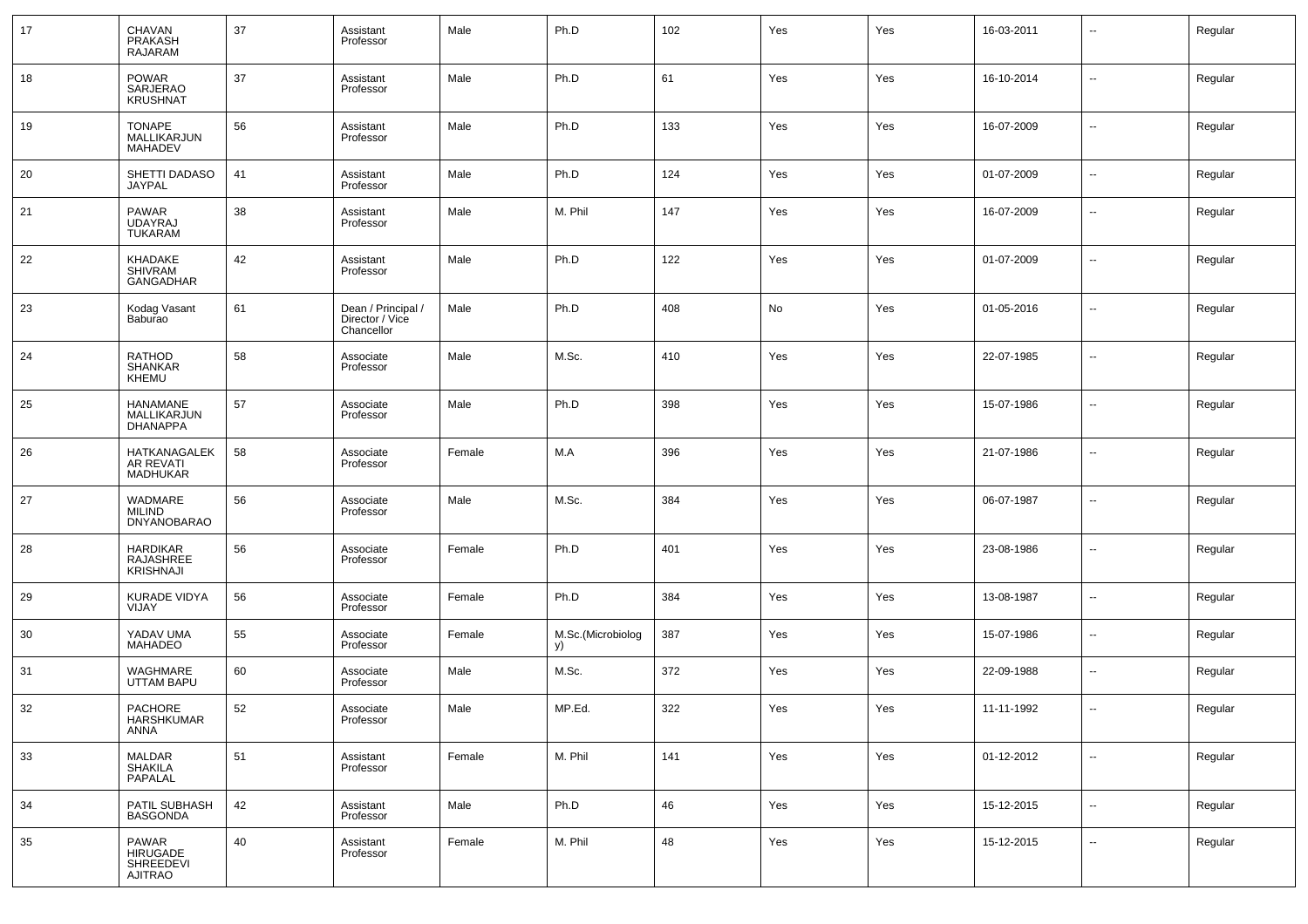| 17 | CHAVAN<br>PRAKASH<br><b>RAJARAM</b>              | 37 | Assistant<br>Professor                              | Male   | Ph.D                    | 102 | Yes | Yes | 16-03-2011 | --                       | Regular |
|----|--------------------------------------------------|----|-----------------------------------------------------|--------|-------------------------|-----|-----|-----|------------|--------------------------|---------|
| 18 | <b>POWAR</b><br>SARJERAO<br><b>KRUSHNAT</b>      | 37 | Assistant<br>Professor                              | Male   | Ph.D                    | 61  | Yes | Yes | 16-10-2014 | ш.                       | Regular |
| 19 | <b>TONAPE</b><br>MALLIKARJUN<br><b>MAHADEV</b>   | 56 | Assistant<br>Professor                              | Male   | Ph.D                    | 133 | Yes | Yes | 16-07-2009 | --                       | Regular |
| 20 | SHETTI DADASO<br><b>JAYPAL</b>                   | 41 | Assistant<br>Professor                              | Male   | Ph.D                    | 124 | Yes | Yes | 01-07-2009 | --                       | Regular |
| 21 | <b>PAWAR</b><br><b>UDAYRAJ</b><br><b>TUKARAM</b> | 38 | Assistant<br>Professor                              | Male   | M. Phil                 | 147 | Yes | Yes | 16-07-2009 | --                       | Regular |
| 22 | KHADAKE<br><b>SHIVRAM</b><br><b>GANGADHAR</b>    | 42 | Assistant<br>Professor                              | Male   | Ph.D                    | 122 | Yes | Yes | 01-07-2009 | --                       | Regular |
| 23 | Kodag Vasant<br>Baburao                          | 61 | Dean / Principal /<br>Director / Vice<br>Chancellor | Male   | Ph.D                    | 408 | No  | Yes | 01-05-2016 | --                       | Regular |
| 24 | <b>RATHOD</b><br>SHANKAR<br>KHEMU                | 58 | Associate<br>Professor                              | Male   | M.Sc.                   | 410 | Yes | Yes | 22-07-1985 | --                       | Regular |
| 25 | HANAMANE<br>MALLIKARJUN<br><b>DHANAPPA</b>       | 57 | Associate<br>Professor                              | Male   | Ph.D                    | 398 | Yes | Yes | 15-07-1986 | ш.                       | Regular |
| 26 | HATKANAGALEK<br>AR REVATI<br><b>MADHUKAR</b>     | 58 | Associate<br>Professor                              | Female | M.A                     | 396 | Yes | Yes | 21-07-1986 | --                       | Regular |
| 27 | WADMARE<br><b>MILIND</b><br><b>DNYANOBARAO</b>   | 56 | Associate<br>Professor                              | Male   | M.Sc.                   | 384 | Yes | Yes | 06-07-1987 | --                       | Regular |
| 28 | <b>HARDIKAR</b><br>RAJASHREE<br><b>KRISHNAJI</b> | 56 | Associate<br>Professor                              | Female | Ph.D                    | 401 | Yes | Yes | 23-08-1986 | $\overline{a}$           | Regular |
| 29 | <b>KURADE VIDYA</b><br>VIJAY                     | 56 | Associate<br>Professor                              | Female | Ph.D                    | 384 | Yes | Yes | 13-08-1987 | --                       | Regular |
| 30 | YADAV UMA<br><b>MAHADEO</b>                      | 55 | Associate<br>Professor                              | Female | M.Sc.(Microbiolog<br>y) | 387 | Yes | Yes | 15-07-1986 | --                       | Regular |
| 31 | WAGHMARE<br><b>UTTAM BAPU</b>                    | 60 | Associate<br>Professor                              | Male   | M.Sc.                   | 372 | Yes | Yes | 22-09-1988 | --                       | Regular |
| 32 | PACHORE<br><b>HARSHKUMAR</b><br>ANNA             | 52 | Associate<br>Professor                              | Male   | MP.Ed.                  | 322 | Yes | Yes | 11-11-1992 | н.                       | Regular |
| 33 | MALDAR<br>SHAKILA<br>PAPALAL                     | 51 | Assistant<br>Professor                              | Female | M. Phil                 | 141 | Yes | Yes | 01-12-2012 | $\sim$                   | Regular |
| 34 | PATIL SUBHASH<br><b>BASGONDA</b>                 | 42 | Assistant<br>Professor                              | Male   | Ph.D                    | 46  | Yes | Yes | 15-12-2015 | $\overline{\phantom{a}}$ | Regular |
| 35 | PAWAR<br>HIRUGADE<br>SHREEDEVI<br>AJITRAO        | 40 | Assistant<br>Professor                              | Female | M. Phil                 | 48  | Yes | Yes | 15-12-2015 | $\sim$                   | Regular |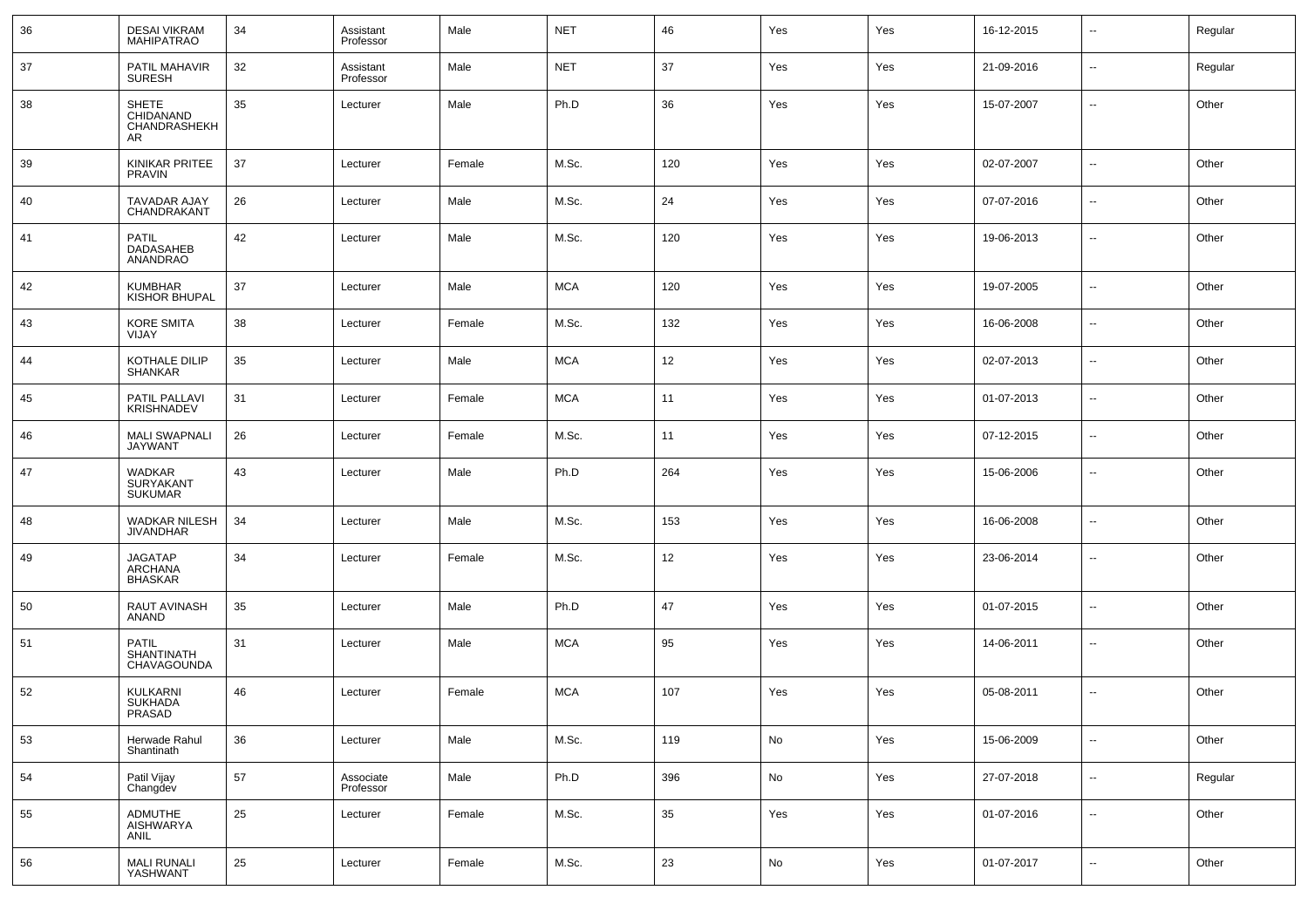| 36 | <b>DESAI VIKRAM</b><br><b>MAHIPATRAO</b>                | 34 | Assistant<br>Professor | Male   | <b>NET</b> | 46  | Yes | Yes | 16-12-2015 | $\overline{\phantom{a}}$ | Regular |
|----|---------------------------------------------------------|----|------------------------|--------|------------|-----|-----|-----|------------|--------------------------|---------|
| 37 | PATIL MAHAVIR<br><b>SURESH</b>                          | 32 | Assistant<br>Professor | Male   | <b>NET</b> | 37  | Yes | Yes | 21-09-2016 | --                       | Regular |
| 38 | <b>SHETE</b><br>CHIDANAND<br>CHANDRASHEKH<br>AR.        | 35 | Lecturer               | Male   | Ph.D       | 36  | Yes | Yes | 15-07-2007 | --                       | Other   |
| 39 | KINIKAR PRITEE<br><b>PRAVIN</b>                         | 37 | Lecturer               | Female | M.Sc.      | 120 | Yes | Yes | 02-07-2007 | $\overline{\phantom{a}}$ | Other   |
| 40 | TAVADAR AJAY<br>CHANDRAKANT                             | 26 | Lecturer               | Male   | M.Sc.      | 24  | Yes | Yes | 07-07-2016 | $\overline{\phantom{a}}$ | Other   |
| 41 | PATIL<br>DADASAHEB<br>ANANDRAO                          | 42 | Lecturer               | Male   | M.Sc.      | 120 | Yes | Yes | 19-06-2013 | --                       | Other   |
| 42 | <b>KUMBHAR</b><br><b>KISHOR BHUPAL</b>                  | 37 | Lecturer               | Male   | <b>MCA</b> | 120 | Yes | Yes | 19-07-2005 | --                       | Other   |
| 43 | <b>KORE SMITA</b><br>VIJAY                              | 38 | Lecturer               | Female | M.Sc.      | 132 | Yes | Yes | 16-06-2008 | $\overline{\phantom{a}}$ | Other   |
| 44 | KOTHALE DILIP<br><b>SHANKAR</b>                         | 35 | Lecturer               | Male   | <b>MCA</b> | 12  | Yes | Yes | 02-07-2013 | --                       | Other   |
| 45 | PATIL PALLAVI<br><b>KRISHNADEV</b>                      | 31 | Lecturer               | Female | <b>MCA</b> | 11  | Yes | Yes | 01-07-2013 | $\overline{\phantom{a}}$ | Other   |
| 46 | <b>MALI SWAPNALI</b><br><b>JAYWANT</b>                  | 26 | Lecturer               | Female | M.Sc.      | 11  | Yes | Yes | 07-12-2015 | $\overline{\phantom{a}}$ | Other   |
| 47 | WADKAR<br><b>SURYAKANT</b><br><b>SUKUMAR</b>            | 43 | Lecturer               | Male   | Ph.D       | 264 | Yes | Yes | 15-06-2006 | --                       | Other   |
| 48 | WADKAR NILESH<br><b>JIVANDHAR</b>                       | 34 | Lecturer               | Male   | M.Sc.      | 153 | Yes | Yes | 16-06-2008 | --                       | Other   |
| 49 | JAGATAP<br>ARCHANA<br><b>BHASKAR</b>                    | 34 | Lecturer               | Female | M.Sc.      | 12  | Yes | Yes | 23-06-2014 | $\overline{\phantom{a}}$ | Other   |
| 50 | RAUT AVINASH<br>ANAND                                   | 35 | Lecturer               | Male   | Ph.D       | 47  | Yes | Yes | 01-07-2015 | $\overline{\phantom{a}}$ | Other   |
| 51 | <b>PATIL</b><br><b>SHANTINATH</b><br><b>CHAVAGOUNDA</b> | 31 | Lecturer               | Male   | <b>MCA</b> | 95  | Yes | Yes | 14-06-2011 | −−                       | Other   |
| 52 | <b>KULKARNI</b><br><b>SUKHADA</b><br>PRASAD             | 46 | Lecturer               | Female | <b>MCA</b> | 107 | Yes | Yes | 05-08-2011 | --                       | Other   |
| 53 | Herwade Rahul<br>Shantinath                             | 36 | Lecturer               | Male   | M.Sc.      | 119 | No  | Yes | 15-06-2009 | $\overline{\phantom{a}}$ | Other   |
| 54 | Patil Vijay<br>Changdev                                 | 57 | Associate<br>Professor | Male   | Ph.D       | 396 | No  | Yes | 27-07-2018 | $\overline{\phantom{a}}$ | Regular |
| 55 | ADMUTHE<br>AISHWARYA<br>ANIL                            | 25 | Lecturer               | Female | M.Sc.      | 35  | Yes | Yes | 01-07-2016 | $\overline{\phantom{a}}$ | Other   |
| 56 | <b>MALI RUNALI</b><br>YASHWANT                          | 25 | Lecturer               | Female | M.Sc.      | 23  | No  | Yes | 01-07-2017 | −−                       | Other   |